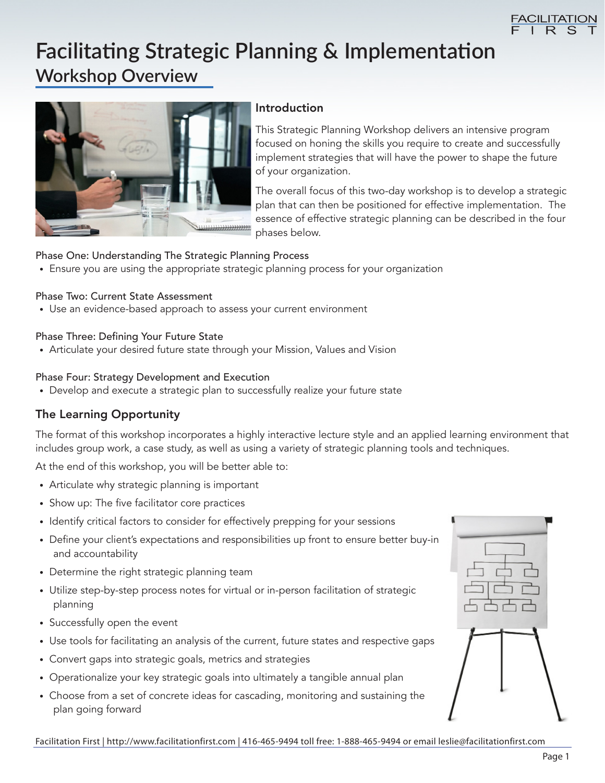

# **Facilitating Strategic Planning & Implementation Workshop Overview**



#### Introduction

This Strategic Planning Workshop delivers an intensive program focused on honing the skills you require to create and successfully implement strategies that will have the power to shape the future of your organization.

The overall focus of this two-day workshop is to develop a strategic plan that can then be positioned for effective implementation. The essence of effective strategic planning can be described in the four phases below.

#### Phase One: Understanding The Strategic Planning Process

• Ensure you are using the appropriate strategic planning process for your organization

#### Phase Two: Current State Assessment

• Use an evidence-based approach to assess your current environment

#### Phase Three: Defining Your Future State

• Articulate your desired future state through your Mission, Values and Vision

#### Phase Four: Strategy Development and Execution

• Develop and execute a strategic plan to successfully realize your future state

#### The Learning Opportunity

The format of this workshop incorporates a highly interactive lecture style and an applied learning environment that includes group work, a case study, as well as using a variety of strategic planning tools and techniques.

At the end of this workshop, you will be better able to:

- Articulate why strategic planning is important
- Show up: The five facilitator core practices
- Identify critical factors to consider for effectively prepping for your sessions
- Define your client's expectations and responsibilities up front to ensure better buy-in and accountability
- Determine the right strategic planning team
- Utilize step-by-step process notes for virtual or in-person facilitation of strategic planning
- Successfully open the event
- Use tools for facilitating an analysis of the current, future states and respective gaps
- Convert gaps into strategic goals, metrics and strategies
- Operationalize your key strategic goals into ultimately a tangible annual plan
- Choose from a set of concrete ideas for cascading, monitoring and sustaining the plan going forward



Facilitation First | http://www.facilitationfirst.com | 416-465-9494 toll free: 1-888-465-9494 or email leslie@facilitationfirst.com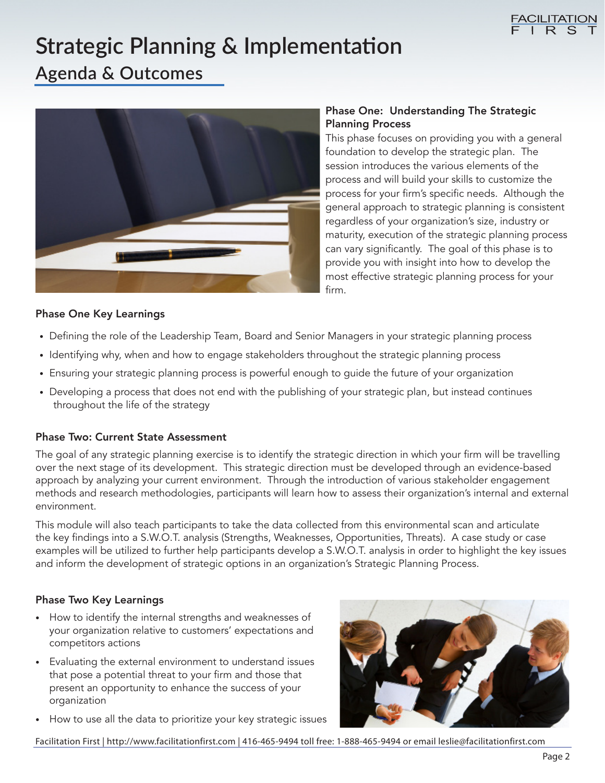

# **Strategic Planning & Implementation**

### **Agenda & Outcomes**



#### Phase One: Understanding The Strategic Planning Process

This phase focuses on providing you with a general foundation to develop the strategic plan. The session introduces the various elements of the process and will build your skills to customize the process for your firm's specific needs. Although the general approach to strategic planning is consistent regardless of your organization's size, industry or maturity, execution of the strategic planning process can vary significantly. The goal of this phase is to provide you with insight into how to develop the most effective strategic planning process for your firm.

#### Phase One Key Learnings

- Defining the role of the Leadership Team, Board and Senior Managers in your strategic planning process
- Identifying why, when and how to engage stakeholders throughout the strategic planning process
- Ensuring your strategic planning process is powerful enough to guide the future of your organization
- Developing a process that does not end with the publishing of your strategic plan, but instead continues throughout the life of the strategy

#### Phase Two: Current State Assessment

The goal of any strategic planning exercise is to identify the strategic direction in which your firm will be travelling over the next stage of its development. This strategic direction must be developed through an evidence-based approach by analyzing your current environment. Through the introduction of various stakeholder engagement methods and research methodologies, participants will learn how to assess their organization's internal and external environment.

This module will also teach participants to take the data collected from this environmental scan and articulate the key findings into a S.W.O.T. analysis (Strengths, Weaknesses, Opportunities, Threats). A case study or case examples will be utilized to further help participants develop a S.W.O.T. analysis in order to highlight the key issues and inform the development of strategic options in an organization's Strategic Planning Process.

#### Phase Two Key Learnings

- How to identify the internal strengths and weaknesses of your organization relative to customers' expectations and competitors actions
- Evaluating the external environment to understand issues that pose a potential threat to your firm and those that present an opportunity to enhance the success of your organization
- How to use all the data to prioritize your key strategic issues



Facilitation First | http://www.facilitationfirst.com | 416-465-9494 toll free: 1-888-465-9494 or email leslie@facilitationfirst.com